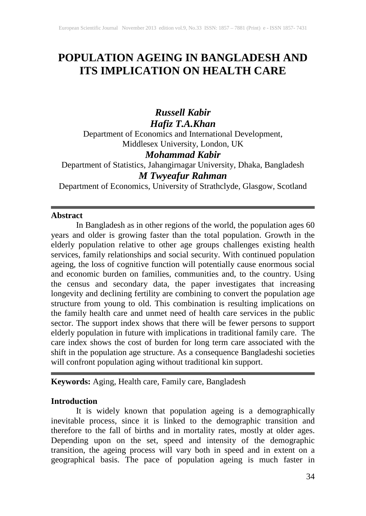# **POPULATION AGEING IN BANGLADESH AND ITS IMPLICATION ON HEALTH CARE**

# *Russell Kabir Hafiz T.A.Khan*

Department of Economics and International Development, Middlesex University, London, UK

## *Mohammad Kabir*

Department of Statistics, Jahangirnagar University, Dhaka, Bangladesh *M Twyeafur Rahman*

Department of Economics, University of Strathclyde, Glasgow, Scotland

### **Abstract**

In Bangladesh as in other regions of the world, the population ages 60 years and older is growing faster than the total population. Growth in the elderly population relative to other age groups challenges existing health services, family relationships and social security. With continued population ageing, the loss of cognitive function will potentially cause enormous social and economic burden on families, communities and, to the country. Using the census and secondary data, the paper investigates that increasing longevity and declining fertility are combining to convert the population age structure from young to old. This combination is resulting implications on the family health care and unmet need of health care services in the public sector. The support index shows that there will be fewer persons to support elderly population in future with implications in traditional family care. The care index shows the cost of burden for long term care associated with the shift in the population age structure. As a consequence Bangladeshi societies will confront population aging without traditional kin support.

#### **Keywords:** Aging, Health care, Family care, Bangladesh

#### **Introduction**

It is widely known that population ageing is a demographically inevitable process, since it is linked to the demographic transition and therefore to the fall of births and in mortality rates, mostly at older ages. Depending upon on the set, speed and intensity of the demographic transition, the ageing process will vary both in speed and in extent on a geographical basis. The pace of population ageing is much faster in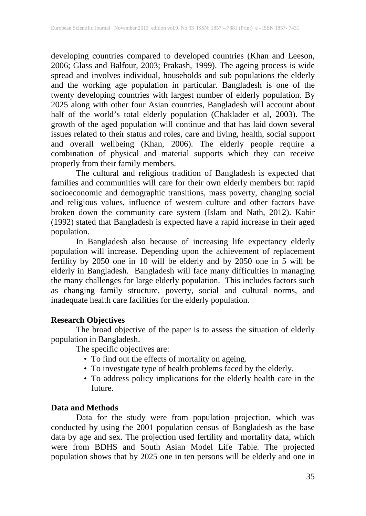developing countries compared to developed countries (Khan and Leeson, 2006; Glass and Balfour, 2003; Prakash, 1999). The ageing process is wide spread and involves individual, households and sub populations the elderly and the working age population in particular. Bangladesh is one of the twenty developing countries with largest number of elderly population. By 2025 along with other four Asian countries, Bangladesh will account about half of the world's total elderly population (Chaklader et al, 2003). The growth of the aged population will continue and that has laid down several issues related to their status and roles, care and living, health, social support and overall wellbeing (Khan, 2006). The elderly people require a combination of physical and material supports which they can receive properly from their family members.

The cultural and religious tradition of Bangladesh is expected that families and communities will care for their own elderly members but rapid socioeconomic and demographic transitions, mass poverty, changing social and religious values, influence of western culture and other factors have broken down the community care system (Islam and Nath, 2012). Kabir (1992) stated that Bangladesh is expected have a rapid increase in their aged population.

In Bangladesh also because of increasing life expectancy elderly population will increase. Depending upon the achievement of replacement fertility by 2050 one in 10 will be elderly and by 2050 one in 5 will be elderly in Bangladesh. Bangladesh will face many difficulties in managing the many challenges for large elderly population. This includes factors such as changing family structure, poverty, social and cultural norms, and inadequate health care facilities for the elderly population.

#### **Research Objectives**

The broad objective of the paper is to assess the situation of elderly population in Bangladesh.

The specific objectives are:

- To find out the effects of mortality on ageing.
- To investigate type of health problems faced by the elderly.
- To address policy implications for the elderly health care in the future.

#### **Data and Methods**

Data for the study were from population projection, which was conducted by using the 2001 population census of Bangladesh as the base data by age and sex. The projection used fertility and mortality data, which were from BDHS and South Asian Model Life Table. The projected population shows that by 2025 one in ten persons will be elderly and one in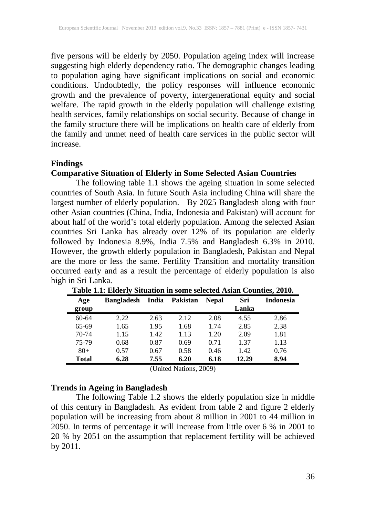five persons will be elderly by 2050. Population ageing index will increase suggesting high elderly dependency ratio. The demographic changes leading to population aging have significant implications on social and economic conditions. Undoubtedly, the policy responses will influence economic growth and the prevalence of poverty, intergenerational equity and social welfare. The rapid growth in the elderly population will challenge existing health services, family relationships on social security. Because of change in the family structure there will be implications on health care of elderly from the family and unmet need of health care services in the public sector will increase.

#### **Findings**

#### **Comparative Situation of Elderly in Some Selected Asian Countries**

The following table 1.1 shows the ageing situation in some selected countries of South Asia. In future South Asia including China will share the largest number of elderly population. By 2025 Bangladesh along with four other Asian countries (China, India, Indonesia and Pakistan) will account for about half of the world's total elderly population. Among the selected Asian countries Sri Lanka has already over 12% of its population are elderly followed by Indonesia 8.9%, India 7.5% and Bangladesh 6.3% in 2010. However, the growth elderly population in Bangladesh, Pakistan and Nepal are the more or less the same. Fertility Transition and mortality transition occurred early and as a result the percentage of elderly population is also high in Sri Lanka.

| Age<br>group | <b>Bangladesh</b> | India | <b>Pakistan</b> | <b>Nepal</b> | Sri<br>Lanka | <b>Indonesia</b> |
|--------------|-------------------|-------|-----------------|--------------|--------------|------------------|
| $60 - 64$    | 2.22              | 2.63  | 2.12            | 2.08         | 4.55         | 2.86             |
| 65-69        | 1.65              | 1.95  | 1.68            | 1.74         | 2.85         | 2.38             |
| $70 - 74$    | 1.15              | 1.42  | 1.13            | 1.20         | 2.09         | 1.81             |
| 75-79        | 0.68              | 0.87  | 0.69            | 0.71         | 1.37         | 1.13             |
| $80+$        | 0.57              | 0.67  | 0.58            | 0.46         | 1.42         | 0.76             |
| Total        | 6.28              | 7.55  | 6.20            | 6.18         | 12.29        | 8.94             |

**Table 1.1: Elderly Situation in some selected Asian Counties, 2010.**

(United Nations, 2009)

### **Trends in Ageing in Bangladesh**

The following Table 1.2 shows the elderly population size in middle of this century in Bangladesh. As evident from table 2 and figure 2 elderly population will be increasing from about 8 million in 2001 to 44 million in 2050. In terms of percentage it will increase from little over 6 % in 2001 to 20 % by 2051 on the assumption that replacement fertility will be achieved by 2011.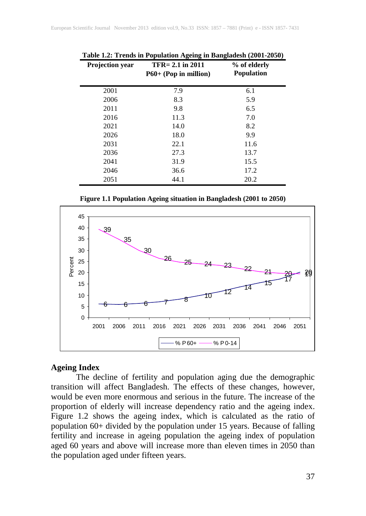| Projection year | $TFR = 2.1$ in 2011<br>$P60+$ (Pop in million) | % of elderly<br><b>Population</b> |
|-----------------|------------------------------------------------|-----------------------------------|
| 2001            | 7.9                                            | 6.1                               |
| 2006            | 8.3                                            | 5.9                               |
| 2011            | 9.8                                            | 6.5                               |
| 2016            | 11.3                                           | 7.0                               |
| 2021            | 14.0                                           | 8.2                               |
| 2026            | 18.0                                           | 9.9                               |
| 2031            | 22.1                                           | 11.6                              |
| 2036            | 27.3                                           | 13.7                              |
| 2041            | 31.9                                           | 15.5                              |
| 2046            | 36.6                                           | 17.2                              |
| 2051            | 44.1                                           | 20.2                              |

**Table 1.2: Trends in Population Ageing in Bangladesh (2001-2050)**

**Figure 1.1 Population Ageing situation in Bangladesh (2001 to 2050)**



#### **Ageing Index**

The decline of fertility and population aging due the demographic transition will affect Bangladesh. The effects of these changes, however, would be even more enormous and serious in the future. The increase of the proportion of elderly will increase dependency ratio and the ageing index. Figure 1.2 shows the ageing index, which is calculated as the ratio of population 60+ divided by the population under 15 years. Because of falling fertility and increase in ageing population the ageing index of population aged 60 years and above will increase more than eleven times in 2050 than the population aged under fifteen years.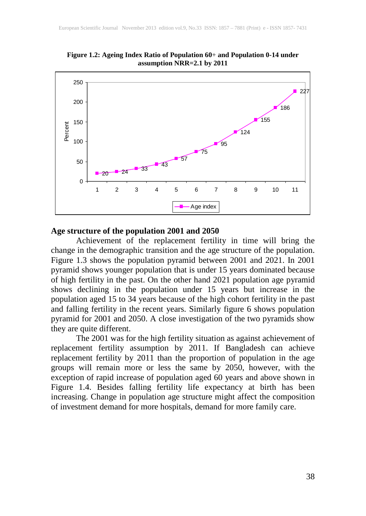

**Figure 1.2: Ageing Index Ratio of Population 60**+ **and Population 0-14 under assumption NRR=2.1 by 2011**

## **Age structure of the population 2001 and 2050**

Achievement of the replacement fertility in time will bring the change in the demographic transition and the age structure of the population. Figure 1.3 shows the population pyramid between 2001 and 2021. In 2001 pyramid shows younger population that is under 15 years dominated because of high fertility in the past. On the other hand 2021 population age pyramid shows declining in the population under 15 years but increase in the population aged 15 to 34 years because of the high cohort fertility in the past and falling fertility in the recent years. Similarly figure 6 shows population pyramid for 2001 and 2050. A close investigation of the two pyramids show they are quite different.

The 2001 was for the high fertility situation as against achievement of replacement fertility assumption by 2011. If Bangladesh can achieve replacement fertility by 2011 than the proportion of population in the age groups will remain more or less the same by 2050, however, with the exception of rapid increase of population aged 60 years and above shown in Figure 1.4. Besides falling fertility life expectancy at birth has been increasing. Change in population age structure might affect the composition of investment demand for more hospitals, demand for more family care.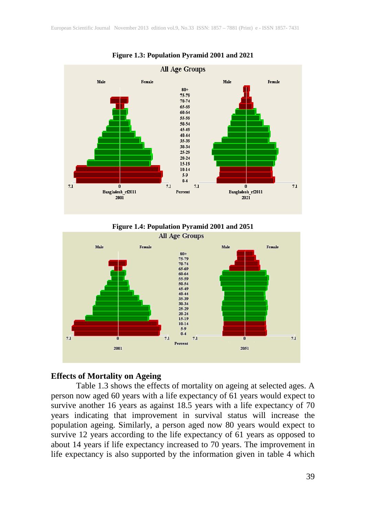

**Figure 1.3: Population Pyramid 2001 and 2021**





#### **Effects of Mortality on Ageing**

Table 1.3 shows the effects of mortality on ageing at selected ages. A person now aged 60 years with a life expectancy of 61 years would expect to survive another 16 years as against 18.5 years with a life expectancy of 70 years indicating that improvement in survival status will increase the population ageing. Similarly, a person aged now 80 years would expect to survive 12 years according to the life expectancy of 61 years as opposed to about 14 years if life expectancy increased to 70 years. The improvement in life expectancy is also supported by the information given in table 4 which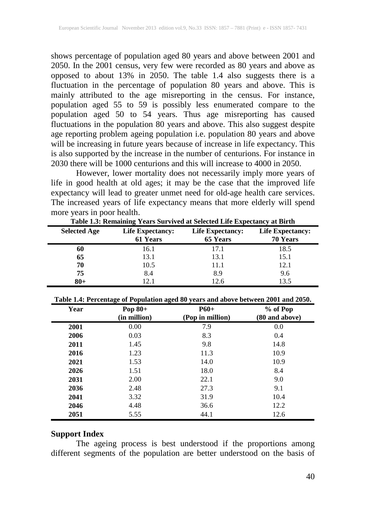shows percentage of population aged 80 years and above between 2001 and 2050. In the 2001 census, very few were recorded as 80 years and above as opposed to about 13% in 2050. The table 1.4 also suggests there is a fluctuation in the percentage of population 80 years and above. This is mainly attributed to the age misreporting in the census. For instance, population aged 55 to 59 is possibly less enumerated compare to the population aged 50 to 54 years. Thus age misreporting has caused fluctuations in the population 80 years and above. This also suggest despite age reporting problem ageing population i.e. population 80 years and above will be increasing in future years because of increase in life expectancy. This is also supported by the increase in the number of centurions. For instance in 2030 there will be 1000 centurions and this will increase to 4000 in 2050.

However, lower mortality does not necessarily imply more years of life in good health at old ages; it may be the case that the improved life expectancy will lead to greater unmet need for old-age health care services. The increased years of life expectancy means that more elderly will spend more years in poor health.

| <b>Selected Age</b> | <b>Life Expectancy:</b><br>61 Years | <b>Life Expectancy:</b><br>65 Years | <b>Life Expectancy:</b><br>70 Years |
|---------------------|-------------------------------------|-------------------------------------|-------------------------------------|
| 60                  | 16.1                                | 17.1                                | 18.5                                |
| 65                  | 13.1                                | 13.1                                | 15.1                                |
| 70                  | 10.5                                | 11.1                                | 12.1                                |
| 75                  | 8.4                                 | 8.9                                 | 9.6                                 |
| $80 +$              | 12.1                                | 12.6                                | 13.5                                |

**Table 1.3: Remaining Years Survived at Selected Life Expectancy at Birth**

| Table 1.4: Percentage of Population aged 80 years and above between 2001 and 2050. |  |
|------------------------------------------------------------------------------------|--|
|------------------------------------------------------------------------------------|--|

| Year | Pop $80+$<br>(in million) | $P60+$<br>(Pop in million) | $%$ of Pop<br>(80 and above) |
|------|---------------------------|----------------------------|------------------------------|
| 2001 | 0.00                      | 7.9                        | 0.0                          |
| 2006 | 0.03                      | 8.3                        | 0.4                          |
| 2011 | 1.45                      | 9.8                        | 14.8                         |
| 2016 | 1.23                      | 11.3                       | 10.9                         |
| 2021 | 1.53                      | 14.0                       | 10.9                         |
| 2026 | 1.51                      | 18.0                       | 8.4                          |
| 2031 | 2.00                      | 22.1                       | 9.0                          |
| 2036 | 2.48                      | 27.3                       | 9.1                          |
| 2041 | 3.32                      | 31.9                       | 10.4                         |
| 2046 | 4.48                      | 36.6                       | 12.2                         |
| 2051 | 5.55                      | 44.1                       | 12.6                         |

#### **Support Index**

The ageing process is best understood if the proportions among different segments of the population are better understood on the basis of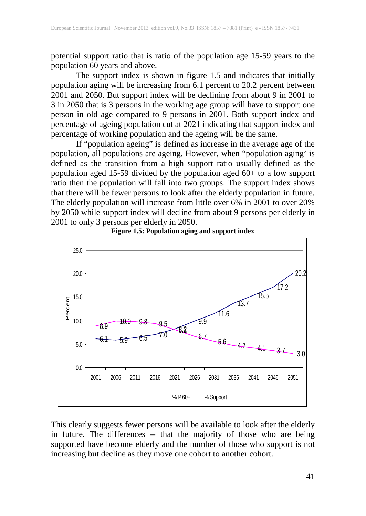potential support ratio that is ratio of the population age 15-59 years to the population 60 years and above.

The support index is shown in figure 1.5 and indicates that initially population aging will be increasing from 6.1 percent to 20.2 percent between 2001 and 2050. But support index will be declining from about 9 in 2001 to 3 in 2050 that is 3 persons in the working age group will have to support one person in old age compared to 9 persons in 2001. Both support index and percentage of ageing population cut at 2021 indicating that support index and percentage of working population and the ageing will be the same.

If "population ageing" is defined as increase in the average age of the population, all populations are ageing. However, when "population aging' is defined as the transition from a high support ratio usually defined as the population aged 15-59 divided by the population aged 60+ to a low support ratio then the population will fall into two groups. The support index shows that there will be fewer persons to look after the elderly population in future. The elderly population will increase from little over 6% in 2001 to over 20% by 2050 while support index will decline from about 9 persons per elderly in 2001 to only 3 persons per elderly in 2050.





This clearly suggests fewer persons will be available to look after the elderly in future. The differences -- that the majority of those who are being supported have become elderly and the number of those who support is not increasing but decline as they move one cohort to another cohort.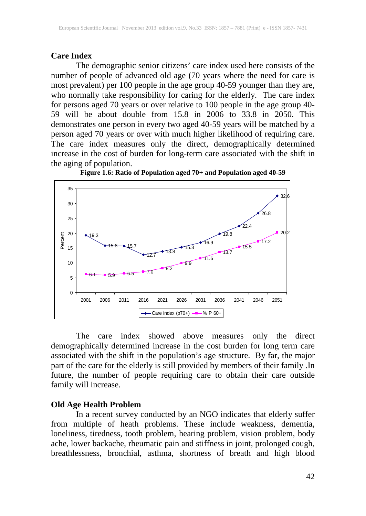#### **Care Index**

The demographic senior citizens' care index used here consists of the number of people of advanced old age (70 years where the need for care is most prevalent) per 100 people in the age group 40-59 younger than they are, who normally take responsibility for caring for the elderly. The care index for persons aged 70 years or over relative to 100 people in the age group 40- 59 will be about double from 15.8 in 2006 to 33.8 in 2050. This demonstrates one person in every two aged 40-59 years will be matched by a person aged 70 years or over with much higher likelihood of requiring care. The care index measures only the direct, demographically determined increase in the cost of burden for long-term care associated with the shift in the aging of population.



**Figure 1.6: Ratio of Population aged 70+ and Population aged 40-59**

The care index showed above measures only the direct demographically determined increase in the cost burden for long term care associated with the shift in the population's age structure. By far, the major part of the care for the elderly is still provided by members of their family .In future, the number of people requiring care to obtain their care outside family will increase.

#### **Old Age Health Problem**

In a recent survey conducted by an NGO indicates that elderly suffer from multiple of heath problems. These include weakness, dementia, loneliness, tiredness, tooth problem, hearing problem, vision problem, body ache, lower backache, rheumatic pain and stiffness in joint, prolonged cough, breathlessness, bronchial, asthma, shortness of breath and high blood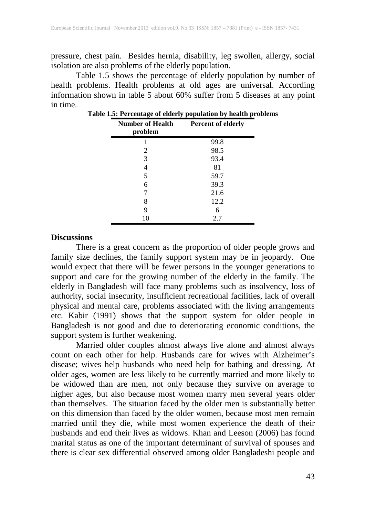pressure, chest pain. Besides hernia, disability, leg swollen, allergy, social isolation are also problems of the elderly population.

Table 1.5 shows the percentage of elderly population by number of health problems. Health problems at old ages are universal. According information shown in table 5 about 60% suffer from 5 diseases at any point in time.

| <b>Number of Health</b><br>problem | <b>Percent of elderly</b> |
|------------------------------------|---------------------------|
|                                    | 99.8                      |
| 2                                  | 98.5                      |
| 3                                  | 93.4                      |
| 4                                  | 81                        |
| 5                                  | 59.7                      |
| 6                                  | 39.3                      |
|                                    | 21.6                      |
| 8                                  | 12.2                      |
| 9                                  | 6                         |
| 10                                 | 2.7                       |

**Table 1.5: Percentage of elderly population by health problems**

#### **Discussions**

There is a great concern as the proportion of older people grows and family size declines, the family support system may be in jeopardy. One would expect that there will be fewer persons in the younger generations to support and care for the growing number of the elderly in the family. The elderly in Bangladesh will face many problems such as insolvency, loss of authority, social insecurity, insufficient recreational facilities, lack of overall physical and mental care, problems associated with the living arrangements etc. Kabir (1991) shows that the support system for older people in Bangladesh is not good and due to deteriorating economic conditions, the support system is further weakening.

Married older couples almost always live alone and almost always count on each other for help. Husbands care for wives with Alzheimer's disease; wives help husbands who need help for bathing and dressing. At older ages, women are less likely to be currently married and more likely to be widowed than are men, not only because they survive on average to higher ages, but also because most women marry men several years older than themselves. The situation faced by the older men is substantially better on this dimension than faced by the older women, because most men remain married until they die, while most women experience the death of their husbands and end their lives as widows. Khan and Leeson (2006) has found marital status as one of the important determinant of survival of spouses and there is clear sex differential observed among older Bangladeshi people and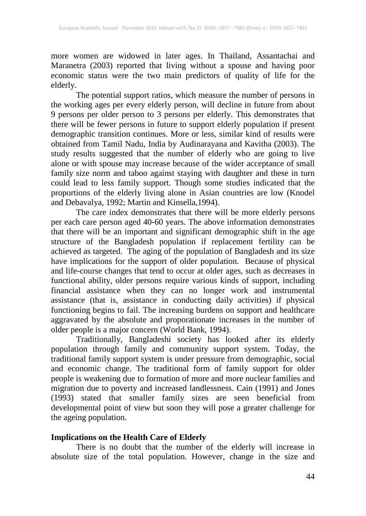more women are widowed in later ages. In Thailand, Assantachai and Maranetra (2003) reported that living without a spouse and having poor economic status were the two main predictors of quality of life for the elderly.

The potential support ratios, which measure the number of persons in the working ages per every elderly person, will decline in future from about 9 persons per older person to 3 persons per elderly. This demonstrates that there will be fewer persons in future to support elderly population if present demographic transition continues. More or less, similar kind of results were obtained from Tamil Nadu, India by Audinarayana and Kavitha (2003). The study results suggested that the number of elderly who are going to live alone or with spouse may increase because of the wider acceptance of small family size norm and taboo against staying with daughter and these in turn could lead to less family support. Though some studies indicated that the proportions of the elderly living alone in Asian countries are low (Knodel and Debavalya, 1992; Martin and Kinsella, 1994).

The care index demonstrates that there will be more elderly persons per each care person aged 40-60 years. The above information demonstrates that there will be an important and significant demographic shift in the age structure of the Bangladesh population if replacement fertility can be achieved as targeted. The aging of the population of Bangladesh and its size have implications for the support of older population. Because of physical and life-course changes that tend to occur at older ages, such as decreases in functional ability, older persons require various kinds of support, including financial assistance when they can no longer work and instrumental assistance (that is, assistance in conducting daily activities) if physical functioning begins to fail. The increasing burdens on support and healthcare aggravated by the absolute and proporationate increases in the number of older people is a major concern (World Bank, 1994).

Traditionally, Bangladeshi society has looked after its elderly population through family and community support system. Today, the traditional family support system is under pressure from demographic, social and economic change. The traditional form of family support for older people is weakening due to formation of more and more nuclear families and migration due to poverty and increased landlessness. Cain (1991) and Jones (1993) stated that smaller family sizes are seen beneficial from developmental point of view but soon they will pose a greater challenge for the ageing population.

## **Implications on the Health Care of Elderly**

There is no doubt that the number of the elderly will increase in absolute size of the total population. However, change in the size and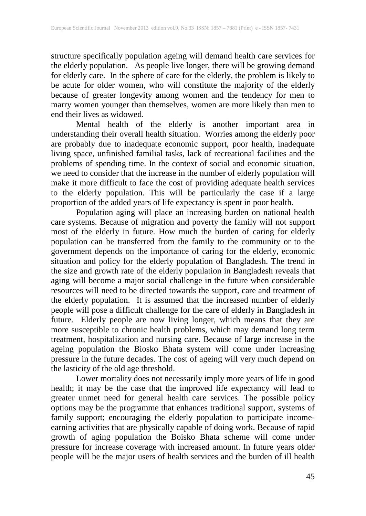structure specifically population ageing will demand health care services for the elderly population. As people live longer, there will be growing demand for elderly care. In the sphere of care for the elderly, the problem is likely to be acute for older women, who will constitute the majority of the elderly because of greater longevity among women and the tendency for men to marry women younger than themselves, women are more likely than men to end their lives as widowed.

Mental health of the elderly is another important area in understanding their overall health situation. Worries among the elderly poor are probably due to inadequate economic support, poor health, inadequate living space, unfinished familial tasks, lack of recreational facilities and the problems of spending time. In the context of social and economic situation, we need to consider that the increase in the number of elderly population will make it more difficult to face the cost of providing adequate health services to the elderly population. This will be particularly the case if a large proportion of the added years of life expectancy is spent in poor health.

Population aging will place an increasing burden on national health care systems. Because of migration and poverty the family will not support most of the elderly in future. How much the burden of caring for elderly population can be transferred from the family to the community or to the government depends on the importance of caring for the elderly, economic situation and policy for the elderly population of Bangladesh. The trend in the size and growth rate of the elderly population in Bangladesh reveals that aging will become a major social challenge in the future when considerable resources will need to be directed towards the support, care and treatment of the elderly population. It is assumed that the increased number of elderly people will pose a difficult challenge for the care of elderly in Bangladesh in future. Elderly people are now living longer, which means that they are more susceptible to chronic health problems, which may demand long term treatment, hospitalization and nursing care. Because of large increase in the ageing population the Biosko Bhata system will come under increasing pressure in the future decades. The cost of ageing will very much depend on the lasticity of the old age threshold.

Lower mortality does not necessarily imply more years of life in good health; it may be the case that the improved life expectancy will lead to greater unmet need for general health care services. The possible policy options may be the programme that enhances traditional support, systems of family support; encouraging the elderly population to participate incomeearning activities that are physically capable of doing work. Because of rapid growth of aging population the Boisko Bhata scheme will come under pressure for increase coverage with increased amount. In future years older people will be the major users of health services and the burden of ill health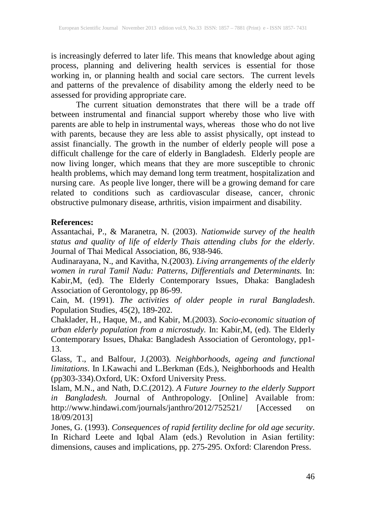is increasingly deferred to later life. This means that knowledge about aging process, planning and delivering health services is essential for those working in, or planning health and social care sectors. The current levels and patterns of the prevalence of disability among the elderly need to be assessed for providing appropriate care.

The current situation demonstrates that there will be a trade off between instrumental and financial support whereby those who live with parents are able to help in instrumental ways, whereas those who do not live with parents, because they are less able to assist physically, opt instead to assist financially. The growth in the number of elderly people will pose a difficult challenge for the care of elderly in Bangladesh. Elderly people are now living longer, which means that they are more susceptible to chronic health problems, which may demand long term treatment, hospitalization and nursing care. As people live longer, there will be a growing demand for care related to conditions such as cardiovascular disease, cancer, chronic obstructive pulmonary disease, arthritis, vision impairment and disability.

## **References:**

Assantachai, P., & Maranetra, N. (2003). *Nationwide survey of the health status and quality of life of elderly Thais attending clubs for the elderly*. Journal of Thai Medical Association, 86, 938-946.

Audinarayana, N., and Kavitha, N.(2003). *Living arrangements of the elderly women in rural Tamil Nadu: Patterns, Differentials and Determinants.* In: Kabir,M, (ed). The Elderly Contemporary Issues, Dhaka: Bangladesh Association of Gerontology, pp 86-99.

Cain, M. (1991). *The activities of older people in rural Bangladesh*. Population Studies, 45(2), 189-202.

Chaklader, H., Haque, M., and Kabir, M.(2003). *Socio-economic situation of urban elderly population from a microstudy.* In: Kabir,M, (ed). The Elderly Contemporary Issues, Dhaka: Bangladesh Association of Gerontology, pp1- 13.

Glass, T., and Balfour, J.(2003). *Neighborhoods, ageing and functional limitations*. In I.Kawachi and L.Berkman (Eds.), Neighborhoods and Health (pp303-334).Oxford, UK: Oxford University Press.

Islam, M.N., and Nath, D.C.(2012). *A Future Journey to the elderly Support in Bangladesh.* Journal of Anthropology. [Online] Available from: http://www.hindawi.com/journals/janthro/2012/752521/ [Accessed on 18/09/2013]

Jones, G. (1993). *Consequences of rapid fertility decline for old age security*. In Richard Leete and Iqbal Alam (eds.) Revolution in Asian fertility: dimensions, causes and implications, pp. 275-295. Oxford: Clarendon Press.